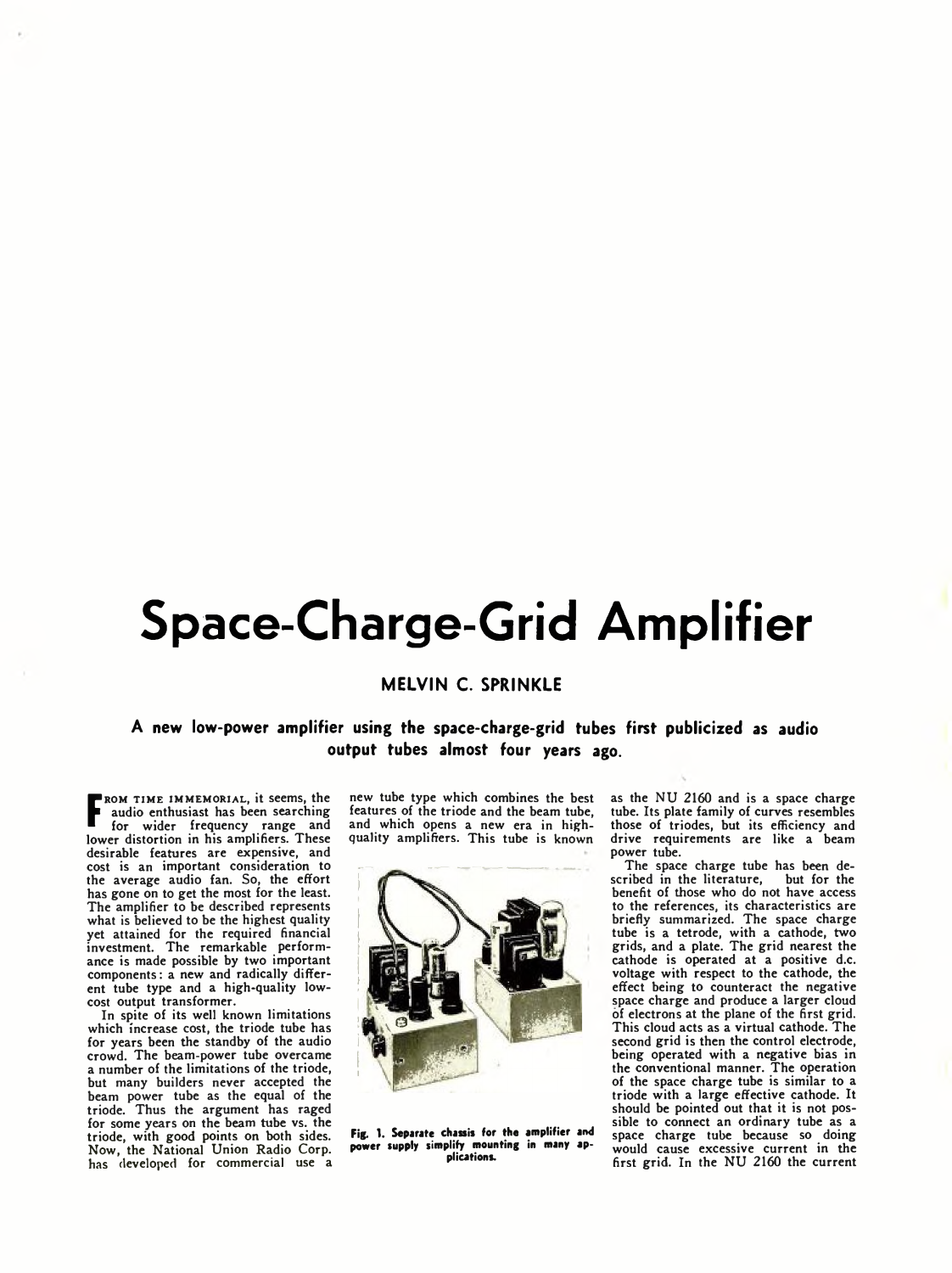# **Space-Charge-Grid Amplifier**

## **M ELVIN C. SPRINKLE**

**A new low-power amplifier using the space-charge-grid tubes first publicized as audio output tubes almost four years ago.**

**F** for wider frequency range and lower distortion in his amplifiers. These ROM TIME IMMEMORIAL, it seems, the audio enthusiast has been searching desirable features are expensive, and cost is an important consideration to the average audio fan. So, the effort has gone on to get the most for the least. The amplifier to be described represents what is believed to be the highest quality yet attained for the required financial investment. The remarkable performance is made possible by two important components: a new and radically different tube type and a high-quality lowcost output transformer.

In spite of its well known limitations which increase cost, the triode tube has for years been the standby of the audio crowd. The beam-power tube overcame a number of the limitations of the triode, but many builders never accepted the beam power tube as the equal of the triode. Thus the argument has raged for some years on the beam tube vs. the triode, with good points on both sides. Now, the National Union Radio Corp. has developed for commercial use a

new tube type which combines the best features of the triode and the beam tube, and which opens a new era in highquality amplifiers. This tube is known



**Fig. 1. Separate chassis for the amplifier and power supply simplify mounting in many applications.**

as the NU 2160 and is a space charge tube. Its plate family of curves resembles those of triodes, but its efficiency and drive requirements are like a beam power tube.

The space charge tube has been described in the literature, but for the benefit of those who do not have access to the references, its characteristics are briefly summarized. The space charge tube is a tetrode, with a cathode, two grids, and a plate. The grid nearest the cathode is operated at a positive d.c. voltage with respect to the cathode, the effect being to counteract the negative space charge and produce a larger cloud of electrons at the plane of the first grid. This cloud acts as a virtual cathode. The second grid is then the control electrode, being operated with a negative bias in the conventional manner. The operation of the space charge tube is similar to a triode with a large effective cathode. It should be pointed out that it is not possible to connect an ordinary tube as a space charge tube because so doing would cause excessive current in the first grid. In the NU 2160 the current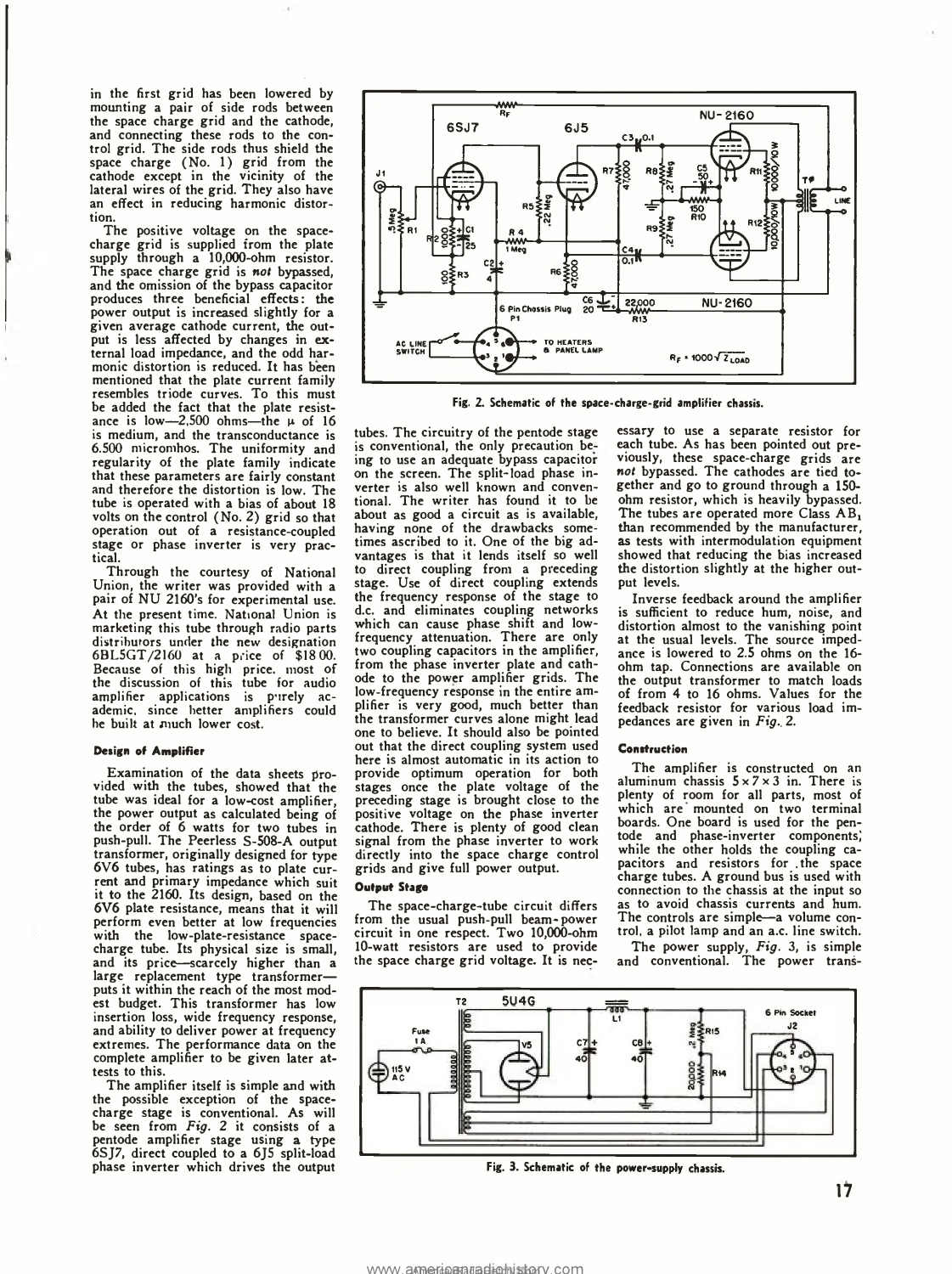in the first grid has been lowered by mounting a pair of side rods between the space charge grid and the cathode, and connecting these rods to the control grid. The side rods thus shield the space charge (No. 1) grid from the cathode except in the vicinity of the lateral wires of the grid. They also have an effect in reducing harmonic distortion.

The positive voltage on the space-charge grid is supplied from the plate supply through a 10,000-ohm resistor. The space charge grid is *not* bypassed, and the omission of the bypass capacitor produces three beneficial effects: the power output is increased slightly for a given average cathode current, the output is less affected by changes in external load impedance, and the odd harmonic distortion is reduced. It has been mentioned that the plate current family resembles triode curves. To this must be added the fact that the plate resistance is low- $2,500$  ohms-the  $\mu$  of 16 is medium, and the transconductance is 6.500 micromhos. The uniformity and regularity of the plate family indicate that these parameters are fairly constant and therefore the distortion is low. The tube is operated with a bias of about 18 volts on the control (No. 2) grid so that operation out of a resistance-coupled stage or phase inverter is very practical.

Through the courtesy of National Union, the writer was provided with a pair of NU 2160's for experimental use. At the present time. National Union is marketing this tube through radio parts distributors under the new designation 6BL5GT/2160 at a price of \$18 00. Because of this high price, most of the discussion of this tube for audio amplifier applications is purely ac-ademic, since better amplifiers could he built at much lower cost.

#### **Design of Amplifier**

Examination of the data sheets provided with the tubes, showed that the tube was ideal for a low-cost amplifier, the power output as calculated being of the order of 6 watts for two tubes in push-pull. The Peerless S-508-A output transformer, originally designed for type 6V6 tubes, has ratings as to plate current and primary impedance which suit it to the 2160. Its design, based on the 6V6 plate resistance, means that it will perform even better at low frequencies with the low-plate-resistance space-charge tube. Its physical size is small, and its price—scarcely higher than a large replacement type transformer puts it within the reach of the most modest budget. This transformer has low insertion loss, wide frequency response, and ability to deliver power at frequency extremes. The performance data on the complete amplifier to be given later attests to this.

The amplifier itself is simple and with the possible exception of the spacecharge stage is conventional. As will be seen from *Fig. 2* it consists of a pentode amplifier stage using a type 6SJ7, direct coupled to a 6J5 split-load phase inverter which drives the output



Fig. 2. Schematic of the space-charge-grid amplifier chassis.

tubes. The circuitry of the pentode stage is conventional, the only precaution being to use an adequate bypass capacitor on the screen. The split-load phase inverter is also well known and conven-tional. The writer has found it to be about as good a circuit as is available, having none of the drawbacks some-times ascribed to it. One of the big advantages is that it lends itself so well to direct coupling from a preceding stage. Use of direct coupling extends the frequency response of the stage to d.c. and eliminates coupling networks which can cause phase shift and low-frequency attenuation. There are only two coupling capacitors in the amplifier, from the phase inverter plate and cathode to the power amplifier grids. The low-frequency response in the entire amplifier is very good, much better than the transformer curves alone might lead one to believe. It should also be pointed out that the direct coupling system used here is almost automatic in its action to provide optimum operation for both stages once the plate voltage of the preceding stage is brought close to the positive voltage on the phase inverter cathode. There is plenty of good clean signal from the phase inverter to work directly into the space charge control grids and give full power output.

#### **Output Stage**

The space-charge-tube circuit differs from the usual push-pull beam-power circuit in one respect. Two 10,000-ohm 10-watt resistors are used to provide the space charge grid voltage. It is necessary to use a separate resistor for each tube. As has been pointed out previously, these space-charge grids are *not* bypassed. The cathodes are tied together and go to ground through a 150 ohm resistor, which is heavily bypassed. The tubes are operated more Class AB, than recommended by the manufacturer, as tests with intermodulation equipment showed that reducing the bias increased the distortion slightly at the higher output levels.

Inverse feedback around the amplifier is sufficient to reduce hum, noise, and distortion almost to the vanishing point at the usual levels. The source imped-ance is lowered to 2.5 ohms on the 16 ohm tap. Connections are available on the output transformer to match loads of from 4 to 16 ohms. Values for the feedback resistor for various load impedances are given in *Fig.. 2.*

#### **Con struct ion**

The amplifier is constructed on an aluminum chassis  $5 \times 7 \times 3$  in. There is plenty of room for all parts, most of which are mounted on two terminal boards. One board is used for the pentode and phase-inverter components,' while the other holds the coupling capacitors and resistors for .the space charge tubes. A ground bus is used with connection to the chassis at the input so as to avoid chassis currents and hum. The controls are simple—a volume control, a pilot lamp and an a.c. line switch.

The power supply, *Fig.* 3, is simple and conventional. The power trans-



Fig. 3. Schematic of the power-supply chassis.